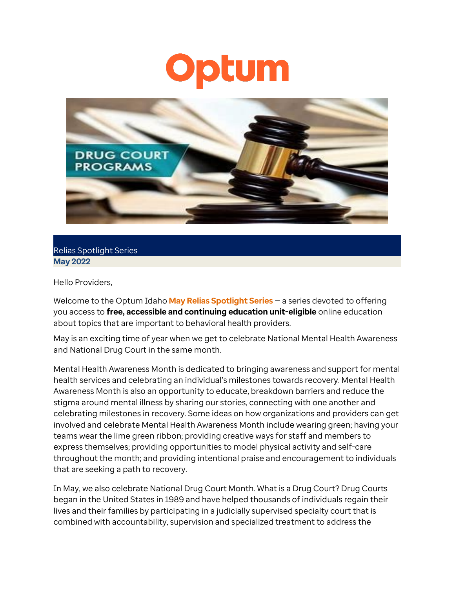## **ptum**  $\bullet$



## Relias Spotlight Series **May 2022**

Hello Providers,

Welcome to the Optum Idaho **May Relias Spotlight Series** — a series devoted to offering you access to **free, accessible and continuing education unit-eligible** online education about topics that are important to behavioral health providers.

May is an exciting time of year when we get to celebrate National Mental Health Awareness and National Drug Court in the same month.

Mental Health Awareness Month is dedicated to bringing awareness and support for mental health services and celebrating an individual's milestones towards recovery. Mental Health Awareness Month is also an opportunity to educate, breakdown barriers and reduce the stigma around mental illness by sharing our stories, connecting with one another and celebrating milestones in recovery. Some ideas on how organizations and providers can get involved and celebrate Mental Health Awareness Month include wearing green; having your teams wear the lime green ribbon; providing creative ways for staff and members to express themselves; providing opportunities to model physical activity and self-care throughout the month; and providing intentional praise and encouragement to individuals that are seeking a path to recovery.

In May, we also celebrate National Drug Court Month. What is a Drug Court? Drug Courts began in the United States in 1989 and have helped thousands of individuals regain their lives and their families by participating in a judicially supervised specialty court that is combined with accountability, supervision and specialized treatment to address the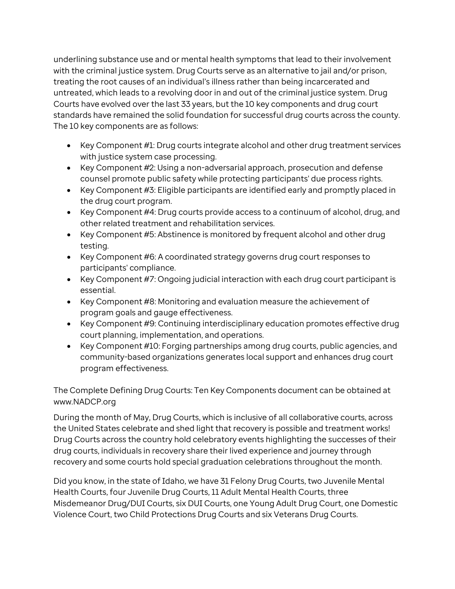underlining substance use and or mental health symptoms that lead to their involvement with the criminal justice system. Drug Courts serve as an alternative to jail and/or prison, treating the root causes of an individual's illness rather than being incarcerated and untreated, which leads to a revolving door in and out of the criminal justice system. Drug Courts have evolved over the last 33 years, but the 10 key components and drug court standards have remained the solid foundation for successful drug courts across the county. The 10 key components are as follows:

- Key Component #1: Drug courts integrate alcohol and other drug treatment services with justice system case processing.
- Key Component #2: Using a non-adversarial approach, prosecution and defense counsel promote public safety while protecting participants' due process rights.
- Key Component #3: Eligible participants are identified early and promptly placed in the drug court program.
- Key Component #4: Drug courts provide access to a continuum of alcohol, drug, and other related treatment and rehabilitation services.
- Key Component #5: Abstinence is monitored by frequent alcohol and other drug testing.
- Key Component #6: A coordinated strategy governs drug court responses to participants' compliance.
- Key Component #7: Ongoing judicial interaction with each drug court participant is essential.
- Key Component #8: Monitoring and evaluation measure the achievement of program goals and gauge effectiveness.
- Key Component #9: Continuing interdisciplinary education promotes effective drug court planning, implementation, and operations.
- Key Component #10: Forging partnerships among drug courts, public agencies, and community-based organizations generates local support and enhances drug court program effectiveness.

The Complete Defining Drug Courts: Ten Key Components document can be obtained at www.NADCP.org

During the month of May, Drug Courts, which is inclusive of all collaborative courts, across the United States celebrate and shed light that recovery is possible and treatment works! Drug Courts across the country hold celebratory events highlighting the successes of their drug courts, individuals in recovery share their lived experience and journey through recovery and some courts hold special graduation celebrations throughout the month.

Did you know, in the state of Idaho, we have 31 Felony Drug Courts, two Juvenile Mental Health Courts, four Juvenile Drug Courts, 11 Adult Mental Health Courts, three Misdemeanor Drug/DUI Courts, six DUI Courts, one Young Adult Drug Court, one Domestic Violence Court, two Child Protections Drug Courts and six Veterans Drug Courts.